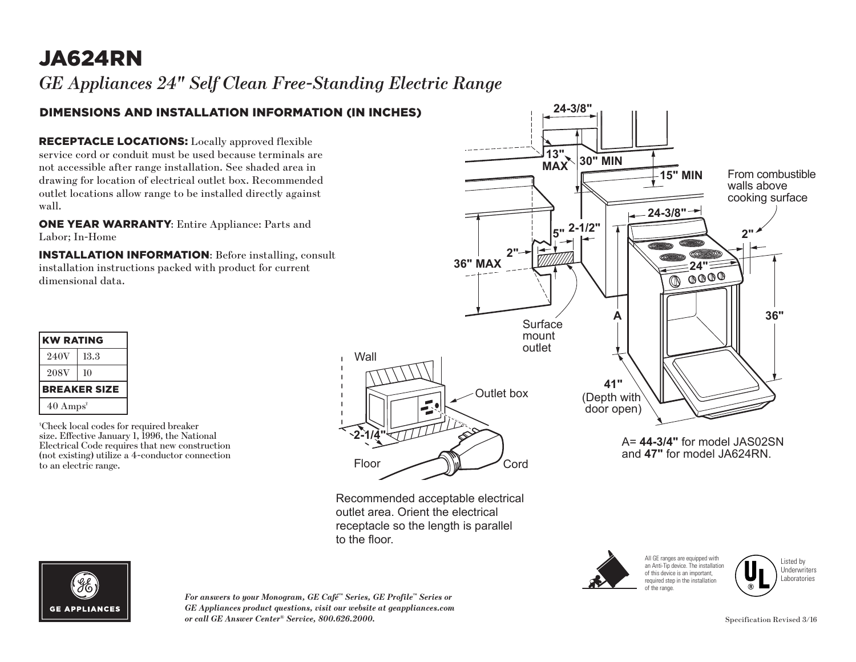# JA624RN

*GE Appliances 24" Self Clean Free-Standing Electric Range* **13"**  $\mathbf{w}$ 

#### DIMENSIONS AND INSTALLATION INFORMATION (IN INCHES)

RECEPTACLE LOCATIONS: Locally approved flexible service cord or conduit must be used because terminals are not accessible after range installation. See shaded area in drawing for location of electrical outlet box. Recommended outlet locations allow range to be installed directly against wall.

ONE YEAR WARRANTY: Entire Appliance: Parts and Labor; In-Home

INSTALLATION INFORMATION: Before installing, consult installation instructions packed with product for current dimensional data.

| KW RATING                   |      |
|-----------------------------|------|
| 240V                        | 13.3 |
| <b>208V</b>                 | 10   |
| <b>BREAKER SIZE</b>         |      |
| $40 \text{ Amps}^{\dagger}$ |      |

† Check local codes for required breaker size. Effective January 1, 1996, the National Electrical Code requires that new construction (not existing) utilize a 4-conductor connection to an electric range.



 $-$ 

Recommended acceptable electrical outlet area. Orient the electrical receptacle so the length is parallel to the floor.

> of the range. Recommended acceptable electrical

All GE ranges are equipped with an Anti-Tip device. The installation of this device is an important, required step in the installation





*For answers to your Monogram, GE Café™ Series, GE Profile™ Series or*<br>CE Anglica so analyst mostives, sixit some deits at monaline so sono GE Appliances product questions, visit our website at geappliances.com<br>or call GE Answer Center® Service. 800.626.2000. *or call GE Answer Center® Service, 800.626.2000.* Specification Revised 3/16 outlet area. Orient the electrical



walls and the state

**15" MIN**

**24-3/8"**

A= **44-3/4"** for model JAS02SN and **47"** for model JA624RN.